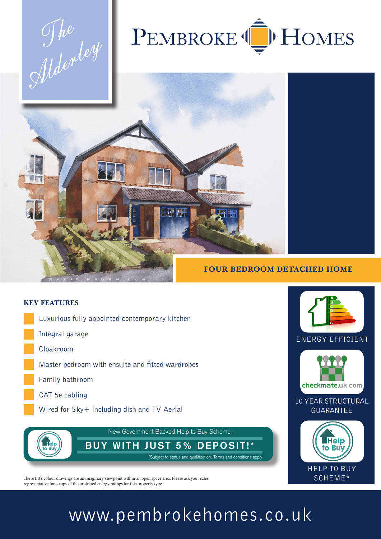The Mdenley



# **FOUR BEDROOM DETACHED HOME**

#### **KEY FEATURES**

- Luxurious fully appointed contemporary kitchen
- Integral garage
- Cloakroom

**Help** 

to Bu

- Master bedroom with ensuite and fitted wardrobes
- Family bathroom
- CAT 5e cabling
	- Wired for Sky+ including dish and TV Aerial



The artist's colour drawings are an imaginary viewpoint within an open space area. Please ask your sales representative for a copy of the projected energy ratings for this property type.

### www.pembrokehomes.co.uk

New Government Backed Help to Buy Scheme

 $\mathcal{A}$